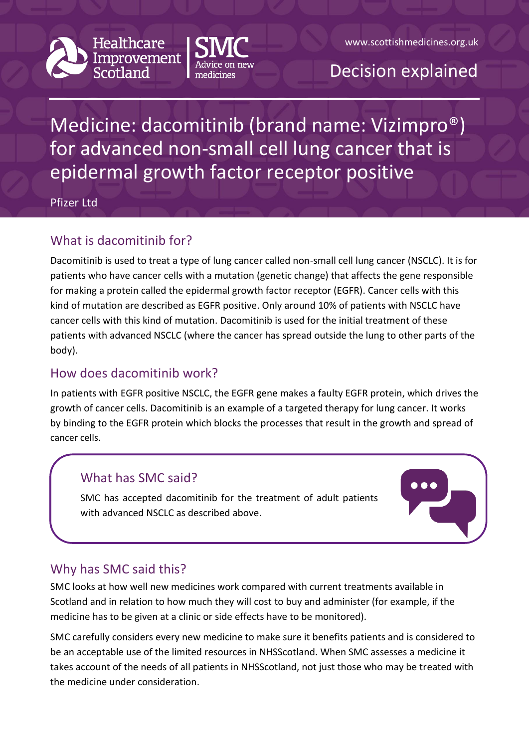





# Decision explained

Medicine: dacomitinib (brand name: Vizimpro®) for advanced non-small cell lung cancer that is epidermal growth factor receptor positive

Pfizer Ltd

### What is dacomitinib for?

Dacomitinib is used to treat a type of lung cancer called non-small cell lung cancer (NSCLC). It is for patients who have cancer cells with a mutation (genetic change) that affects the gene responsible for making a protein called the epidermal growth factor receptor (EGFR). Cancer cells with this kind of mutation are described as EGFR positive. Only around 10% of patients with NSCLC have cancer cells with this kind of mutation. Dacomitinib is used for the initial treatment of these patients with advanced NSCLC (where the cancer has spread outside the lung to other parts of the body).

#### How does dacomitinib work?

In patients with EGFR positive NSCLC, the EGFR gene makes a faulty EGFR protein, which drives the growth of cancer cells. Dacomitinib is an example of a targeted therapy for lung cancer. It works by binding to the EGFR protein which blocks the processes that result in the growth and spread of cancer cells.

#### What has SMC said?

SMC has accepted dacomitinib for the treatment of adult patients with advanced NSCLC as described above.



SMC looks at how well new medicines work compared with current treatments available in Scotland and in relation to how much they will cost to buy and administer (for example, if the medicine has to be given at a clinic or side effects have to be monitored).

SMC carefully considers every new medicine to make sure it benefits patients and is considered to be an acceptable use of the limited resources in NHSScotland. When SMC assesses a medicine it takes account of the needs of all patients in NHSScotland, not just those who may be treated with the medicine under consideration.